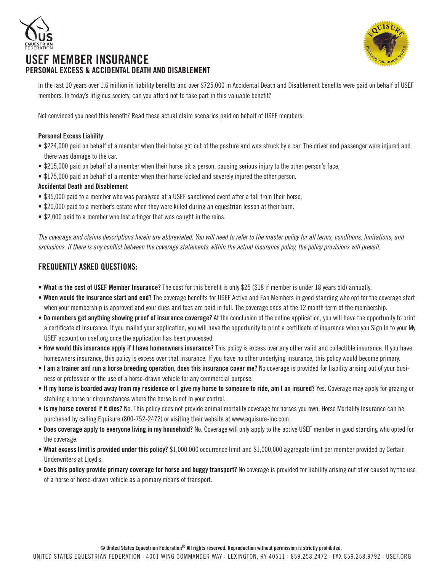





In the last 10 years over 1.6 million in liability benefits and over \$725,000 in Accidental Death and Disablement benefits were paid on behalf of USEF members. In today's litigious society, can you afford not to take part in this valuable benefit?

Not convinced you need this benefit? Read these actual claim scenarios paid on behalf of USEF members:

### Personal Excess Liability

- \$224,000 paid on behalf of a member when their horse got out of the pasture and was struck by a car. The driver and passenger were injured and there was damage to the car.
- \$215,000 paid on behalf of a member when their horse bit a person, causing serious injury to the other person's face.
- \$175,000 paid on behalf of a member when their horse kicked and severely injured the other person.

### Accidental Death and Disablement

- \$35,000 paid to a member who was paralyzed at a USEF sanctioned event after a fall from their horse.
- \$20,000 paid to a member's estate when they were killed during an equestrian lesson at their barn.
- \$2,000 paid to a member who lost a finger that was caught in the reins.

*The coverage and claims descriptions herein are abbreviated. You will need to refer to the master policy for all terms, conditions, limitations, and*  exclusions. If there is any conflict between the coverage statements within the actual insurance policy, the policy provisions will prevail.

## FREQUENTLY ASKED QUESTIONS:

- What is the cost of USEF Member Insurance? The cost for this benefit is only \$25 (\$18 if member is under 18 years old) annually.
- When would the insurance start and end? The coverage benefits for USEF Active and Fan Members in good standing who opt for the coverage start when your membership is approved and your dues and fees are paid in full. The coverage ends at the 12 month term of the membership.
- Do members get anything showing proof of insurance coverage? At the conclusion of the online application, you will have the opportunity to print a certificate of insurance. If you mailed your application, you will have the opportunity to print a certificate of insurance when you Sign In to your My USEF account on usef.org once the application has been processed.
- How would this insurance apply if I have homeowners insurance? This policy is excess over any other valid and collectible insurance. If you have homeowners insurance, this policy is excess over that insurance. If you have no other underlying insurance, this policy would become primary.
- I am a trainer and run a horse breeding operation, does this insurance cover me? No coverage is provided for liability arising out of your business or profession or the use of a horse-drawn vehicle for any commercial purpose.
- If my horse is boarded away from my residence or I give my horse to someone to ride, am I an insured? Yes. Coverage may apply for grazing or stabling a horse or circumstances where the horse is not in your control.
- Is my horse covered if it dies? No. This policy does not provide animal mortality coverage for horses you own. Horse Mortality Insurance can be purchased by calling Equisure (800-752-2472) or visiting their website at www.equisure-inc.com.
- Does coverage apply to everyone living in my household? No. Coverage will only apply to the active USEF member in good standing who opted for the coverage.
- What excess limit is provided under this policy? \$1,000,000 occurrence limit and \$1,000,000 aggregate limit per member provided by Certain Underwriters at Lloyd's.
- Does this policy provide primary coverage for horse and buggy transport? No coverage is provided for liability arising out of or caused by the use of a horse or horse-drawn vehicle as a primary means of transport.